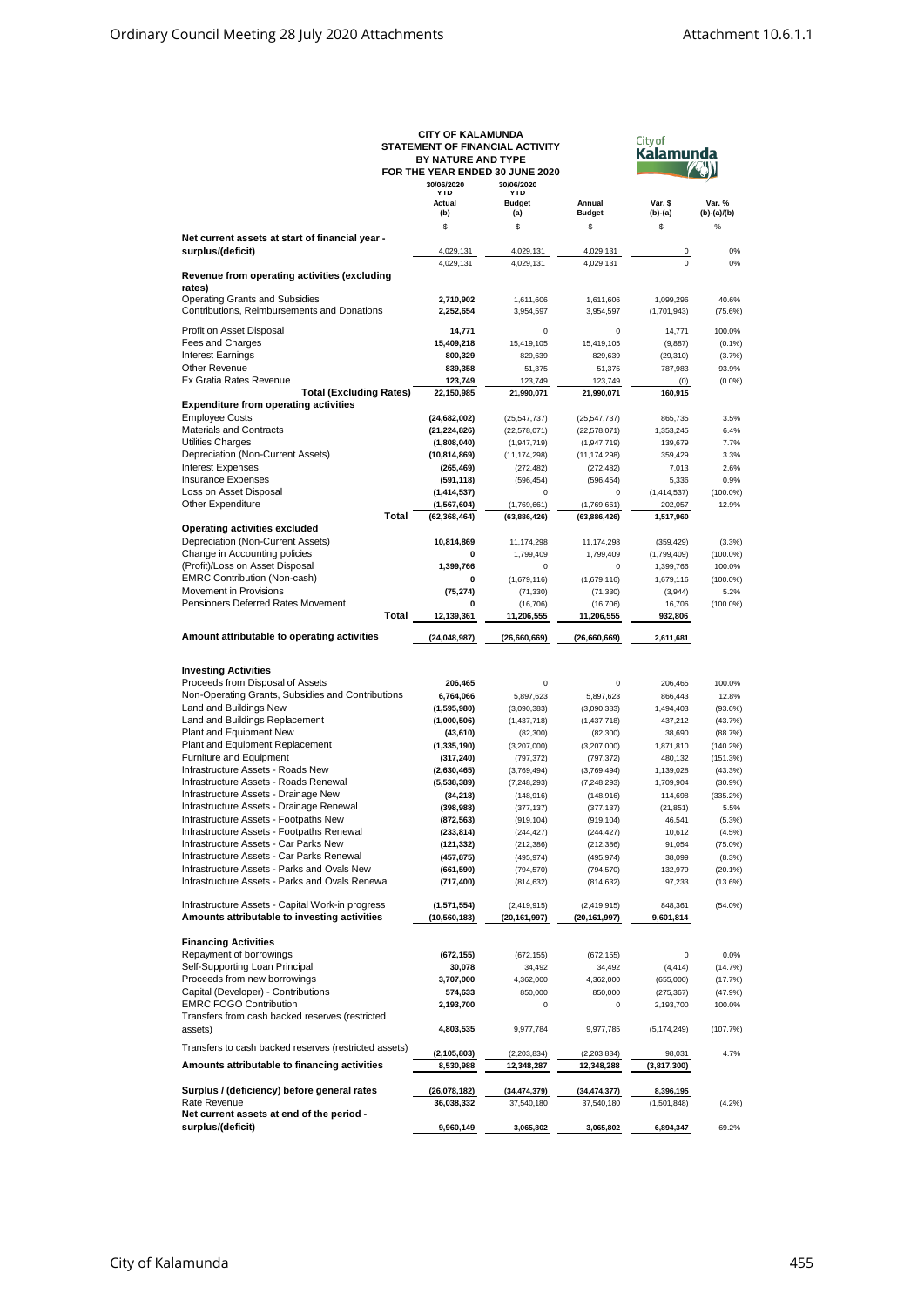|                                                                | <b>CITY OF KALAMUNDA</b>        |                |                |               |             |  |  |
|----------------------------------------------------------------|---------------------------------|----------------|----------------|---------------|-------------|--|--|
|                                                                | STATEMENT OF FINANCIAL ACTIVITY |                | <b>City of</b> |               |             |  |  |
|                                                                | BY NATURE AND TYPE              |                |                | Kalamunda     |             |  |  |
|                                                                |                                 |                |                |               |             |  |  |
|                                                                | FOR THE YEAR ENDED 30 JUNE 2020 |                |                |               |             |  |  |
|                                                                | 30/06/2020                      | 30/06/2020     |                |               |             |  |  |
|                                                                | YTD                             | YTD            |                |               |             |  |  |
|                                                                | Actual                          | <b>Budget</b>  | Annual         | Var. \$       | Var. %      |  |  |
|                                                                | (b)                             | (a)            | <b>Budget</b>  | $(b)-(a)$     | (b)-(a)/(b) |  |  |
|                                                                | \$                              | \$             | \$             | \$            | $\%$        |  |  |
| Net current assets at start of financial year -                |                                 |                |                |               |             |  |  |
|                                                                |                                 |                |                |               |             |  |  |
| surplus/(deficit)                                              | 4,029,131                       | 4,029,131      | 4,029,131      | 0             | 0%          |  |  |
|                                                                | 4,029,131                       | 4,029,131      | 4,029,131      | $\mathbf 0$   | 0%          |  |  |
| Revenue from operating activities (excluding                   |                                 |                |                |               |             |  |  |
| rates)                                                         |                                 |                |                |               |             |  |  |
| Operating Grants and Subsidies                                 |                                 |                |                |               |             |  |  |
|                                                                | 2,710,902                       | 1,611,606      | 1,611,606      | 1.099.296     | 40.6%       |  |  |
| Contributions, Reimbursements and Donations                    | 2,252,654                       | 3,954,597      | 3,954,597      | (1,701,943)   | (75.6%)     |  |  |
|                                                                |                                 |                |                |               |             |  |  |
| Profit on Asset Disposal                                       | 14,771                          | 0              | 0              | 14,771        | 100.0%      |  |  |
| Fees and Charges                                               | 15,409,218                      | 15,419,105     | 15,419,105     | (9,887)       | $(0.1\%)$   |  |  |
| Interest Earnings                                              | 800,329                         | 829,639        | 829,639        | (29, 310)     | (3.7%)      |  |  |
| Other Revenue                                                  | 839,358                         | 51,375         | 51,375         | 787,983       | 93.9%       |  |  |
|                                                                |                                 |                |                |               |             |  |  |
| Ex Gratia Rates Revenue                                        | 123,749                         | 123,749        | 123,749        | (0)           | $(0.0\%)$   |  |  |
| <b>Total (Excluding Rates)</b>                                 | 22,150,985                      | 21,990,071     | 21,990,071     | 160,915       |             |  |  |
| <b>Expenditure from operating activities</b>                   |                                 |                |                |               |             |  |  |
| <b>Employee Costs</b>                                          | (24, 682, 002)                  | (25, 547, 737) | (25, 547, 737) | 865,735       | 3.5%        |  |  |
| Materials and Contracts                                        |                                 |                |                |               |             |  |  |
|                                                                | (21, 224, 826)                  | (22, 578, 071) | (22, 578, 071) | 1,353,245     | 6.4%        |  |  |
| Utilities Charges                                              | (1,808,040)                     | (1,947,719)    | (1,947,719)    | 139,679       | 7.7%        |  |  |
| Depreciation (Non-Current Assets)                              | (10, 814, 869)                  | (11, 174, 298) | (11, 174, 298) | 359,429       | 3.3%        |  |  |
| <b>Interest Expenses</b>                                       | (265, 469)                      | (272, 482)     | (272, 482)     | 7,013         | 2.6%        |  |  |
|                                                                |                                 |                |                |               |             |  |  |
| <b>Insurance Expenses</b>                                      | (591, 118)                      | (596, 454)     | (596, 454)     | 5,336         | 0.9%        |  |  |
| Loss on Asset Disposal                                         | (1, 414, 537)                   | $\Omega$       | 0              | (1,414,537)   | $(100.0\%)$ |  |  |
| Other Expenditure                                              | (1, 567, 604)                   | (1,769,661)    | (1,769,661)    | 202,057       | 12.9%       |  |  |
|                                                                | <b>Total</b><br>(62, 368, 464)  | (63,886,426)   | (63,886,426)   | 1,517,960     |             |  |  |
|                                                                |                                 |                |                |               |             |  |  |
| <b>Operating activities excluded</b>                           |                                 |                |                |               |             |  |  |
| Depreciation (Non-Current Assets)                              | 10,814,869                      | 11,174,298     | 11,174,298     | (359, 429)    | (3.3%)      |  |  |
| Change in Accounting policies                                  | 0                               | 1,799,409      | 1,799,409      | (1,799,409)   | $(100.0\%)$ |  |  |
| (Profit)/Loss on Asset Disposal                                | 1,399,766                       | 0              | 0              | 1,399,766     | 100.0%      |  |  |
| <b>EMRC Contribution (Non-cash)</b>                            |                                 |                |                |               |             |  |  |
|                                                                | 0                               | (1,679,116)    | (1,679,116)    | 1,679,116     | $(100.0\%)$ |  |  |
| Movement in Provisions                                         | (75, 274)                       | (71, 330)      | (71, 330)      | (3,944)       | 5.2%        |  |  |
| Pensioners Deferred Rates Movement                             | 0                               | (16, 706)      | (16, 706)      | 16,706        | $(100.0\%)$ |  |  |
|                                                                | Total<br>12,139,361             | 11,206,555     | 11,206,555     | 932,806       |             |  |  |
|                                                                |                                 |                |                |               |             |  |  |
|                                                                |                                 |                |                |               |             |  |  |
|                                                                |                                 |                |                |               |             |  |  |
| Amount attributable to operating activities                    | (24, 048, 987)                  | (26,660,669)   | (26,660,669)   | 2,611,681     |             |  |  |
|                                                                |                                 |                |                |               |             |  |  |
|                                                                |                                 |                |                |               |             |  |  |
| <b>Investing Activities</b>                                    |                                 |                |                |               |             |  |  |
| Proceeds from Disposal of Assets                               | 206,465                         | 0              | 0              | 206,465       | 100.0%      |  |  |
| Non-Operating Grants, Subsidies and Contributions              | 6,764,066                       | 5,897,623      | 5,897,623      | 866,443       | 12.8%       |  |  |
|                                                                |                                 |                |                |               |             |  |  |
| Land and Buildings New                                         | (1,595,980)                     | (3,090,383)    | (3,090,383)    | 1,494,403     | (93.6%)     |  |  |
| Land and Buildings Replacement                                 | (1,000,506)                     | (1,437,718)    | (1,437,718)    | 437,212       | (43.7%)     |  |  |
| Plant and Equipment New                                        | (43, 610)                       | (82, 300)      | (82, 300)      | 38,690        | (88.7%)     |  |  |
| Plant and Equipment Replacement                                | (1, 335, 190)                   | (3,207,000)    | (3,207,000)    | 1,871,810     | $(140.2\%)$ |  |  |
|                                                                |                                 |                |                |               |             |  |  |
| Furniture and Equipment                                        | (317, 240)                      | (797, 372)     | (797, 372)     | 480,132       | (151.3%)    |  |  |
| Infrastructure Assets - Roads New                              | (2,630,465)                     | (3,769,494)    | (3,769,494)    | 1,139,028     | (43.3%)     |  |  |
| Infrastructure Assets - Roads Renewal                          | (5,538,389)                     | (7, 248, 293)  | (7, 248, 293)  | 1,709,904     | $(30.9\%)$  |  |  |
| Infrastructure Assets - Drainage New                           | (34, 218)                       | (148, 916)     | (148, 916)     | 114,698       | (335.2%)    |  |  |
| Infrastructure Assets - Drainage Renewal                       |                                 | (377, 137)     |                |               | 5.5%        |  |  |
|                                                                | (398, 988)                      |                | (377, 137)     | (21, 851)     |             |  |  |
| Infrastructure Assets - Footpaths New                          | (872, 563)                      | (919, 104)     | (919, 104)     | 46,541        | (5.3%)      |  |  |
| Infrastructure Assets - Footpaths Renewal                      | (233, 814)                      | (244, 427)     | (244, 427)     | 10,612        | (4.5%)      |  |  |
| Infrastructure Assets - Car Parks New                          | (121, 332)                      | (212, 386)     | (212, 386)     | 91,054        | $(75.0\%)$  |  |  |
| Infrastructure Assets - Car Parks Renewal                      | (457, 875)                      | (495, 974)     | (495, 974)     | 38,099        | (8.3%)      |  |  |
|                                                                |                                 |                |                |               |             |  |  |
| Infrastructure Assets - Parks and Ovals New                    | (661, 590)                      | (794, 570)     | (794, 570)     | 132,979       | $(20.1\%)$  |  |  |
| Infrastructure Assets - Parks and Ovals Renewal                | (717, 400)                      | (814, 632)     | (814, 632)     | 97,233        | (13.6%)     |  |  |
|                                                                |                                 |                |                |               |             |  |  |
| Infrastructure Assets - Capital Work-in progress               | (1,571,554)                     | (2,419,915)    | (2,419,915)    | 848,361       | $(54.0\%)$  |  |  |
|                                                                |                                 |                |                |               |             |  |  |
| Amounts attributable to investing activities                   | (10, 560, 183)                  | (20, 161, 997) | (20, 161, 997) | 9,601,814     |             |  |  |
|                                                                |                                 |                |                |               |             |  |  |
| <b>Financing Activities</b>                                    |                                 |                |                |               |             |  |  |
| Repayment of borrowings                                        | (672, 155)                      | (672, 155)     | (672, 155)     | 0             | 0.0%        |  |  |
| Self-Supporting Loan Principal                                 | 30,078                          | 34,492         | 34,492         | (4, 414)      | (14.7%)     |  |  |
|                                                                |                                 |                |                |               |             |  |  |
| Proceeds from new borrowings                                   | 3,707,000                       | 4,362,000      | 4,362,000      | (655,000)     | (17.7%)     |  |  |
| Capital (Developer) - Contributions                            | 574,633                         | 850,000        | 850,000        | (275, 367)    | (47.9%)     |  |  |
| <b>EMRC FOGO Contribution</b>                                  | 2,193,700                       | 0              | 0              | 2,193,700     | 100.0%      |  |  |
| Transfers from cash backed reserves (restricted                |                                 |                |                |               |             |  |  |
|                                                                |                                 |                |                |               |             |  |  |
| assets)                                                        | 4,803,535                       | 9,977,784      | 9,977,785      | (5, 174, 249) | (107.7%)    |  |  |
|                                                                |                                 |                |                |               |             |  |  |
| Transfers to cash backed reserves (restricted assets)          | (2, 105, 803)                   | (2,203,834)    | (2,203,834)    | 98,031        | 4.7%        |  |  |
| Amounts attributable to financing activities                   | 8,530,988                       | 12,348,287     | 12,348,288     | (3,817,300)   |             |  |  |
|                                                                |                                 |                |                |               |             |  |  |
|                                                                |                                 |                |                |               |             |  |  |
| Surplus / (deficiency) before general rates                    | (26,078,182)                    | (34,474,379)   | (34,474,377)   | 8,396,195     |             |  |  |
| Rate Revenue                                                   | 36,038,332                      | 37,540,180     | 37,540,180     | (1,501,848)   | (4.2%)      |  |  |
| Net current assets at end of the period -<br>surplus/(deficit) |                                 |                |                |               |             |  |  |